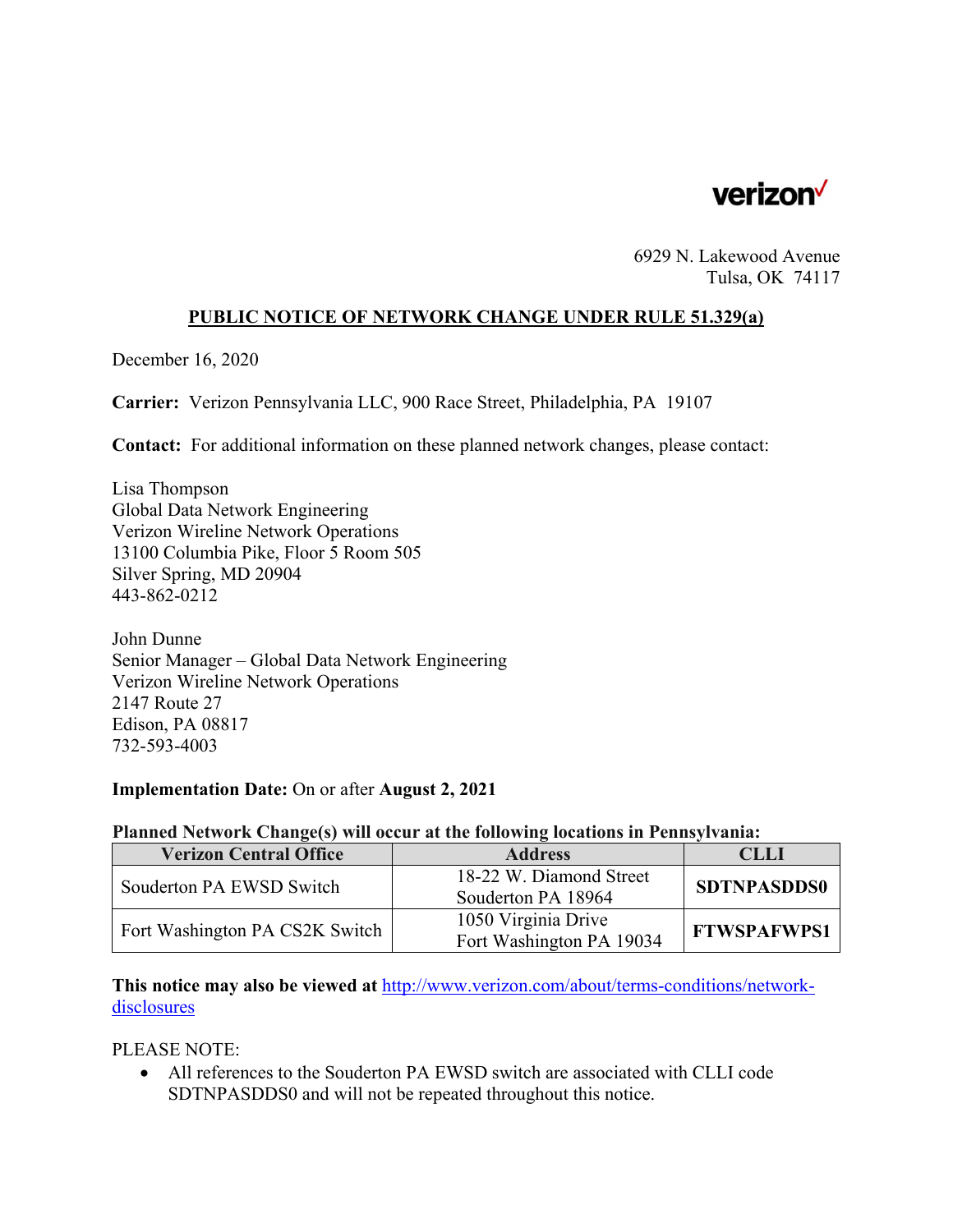

6929 N. Lakewood Avenue Tulsa, OK 74117

### **PUBLIC NOTICE OF NETWORK CHANGE UNDER RULE 51.329(a)**

December 16, 2020

**Carrier:** Verizon Pennsylvania LLC, 900 Race Street, Philadelphia, PA 19107

**Contact:** For additional information on these planned network changes, please contact:

Lisa Thompson Global Data Network Engineering Verizon Wireline Network Operations 13100 Columbia Pike, Floor 5 Room 505 Silver Spring, MD 20904 443-862-0212

John Dunne Senior Manager – Global Data Network Engineering Verizon Wireline Network Operations 2147 Route 27 Edison, PA 08817 732-593-4003

#### **Implementation Date:** On or after **August 2, 2021**

#### **Planned Network Change(s) will occur at the following locations in Pennsylvania:**

| <b>Verizon Central Office</b>  | <b>Address</b>           | <b>CLLI</b>        |
|--------------------------------|--------------------------|--------------------|
| Souderton PA EWSD Switch       | 18-22 W. Diamond Street  | <b>SDTNPASDDS0</b> |
|                                | Souderton PA 18964       |                    |
| Fort Washington PA CS2K Switch | 1050 Virginia Drive      | <b>FTWSPAFWPS1</b> |
|                                | Fort Washington PA 19034 |                    |

**This notice may also be viewed at** http://www.verizon.com/about/terms-conditions/networkdisclosures

PLEASE NOTE:

 All references to the Souderton PA EWSD switch are associated with CLLI code SDTNPASDDS0 and will not be repeated throughout this notice.